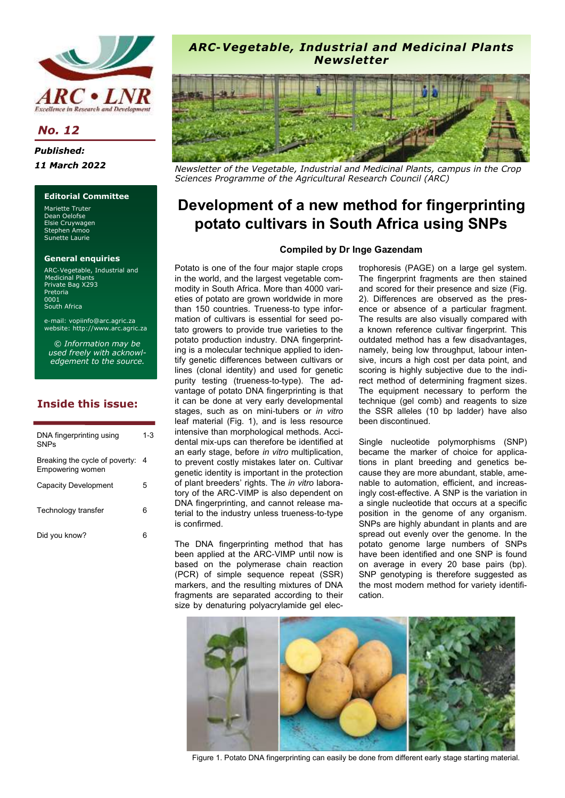

**No. 12** 

**Published:** 11 March 2022

### **Editorial Committee**

Mariette Truter Dean Oelofse Elsie Cruywagen Stephen Amoo Sunette Laurie

#### **General enquiries**

ARC-Vegetable, Industrial and Medicinal Plants Private Bag X293 Pretoria 0001 South Africa

e-mail: vopiinfo@arc.agric.za website: http://www.arc.agric.za

*© Information may be used freely with acknowledgement to the source.*

# **Inside this issue:**

| DNA fingerprinting using<br><b>SNPs</b>            | 1-3 |
|----------------------------------------------------|-----|
| Breaking the cycle of poverty:<br>Empowering women | -4  |
| Capacity Development                               | 5   |
| Technology transfer                                | 6   |
| Did you know?                                      |     |

## *ARC-Vegetable, Industrial and Medicinal Plants Newsletter*



*Newsletter of the Vegetable, Industrial and Medicinal Plants, campus in the Crop Sciences Programme of the Agricultural Research Council (ARC)* 

# **Development of a new method for fingerprinting potato cultivars in South Africa using SNPs**

#### **Compiled by Dr Inge Gazendam**

Potato is one of the four major staple crops in the world, and the largest vegetable commodity in South Africa. More than 4000 varieties of potato are grown worldwide in more than 150 countries. Trueness-to type information of cultivars is essential for seed potato growers to provide true varieties to the potato production industry. DNA fingerprinting is a molecular technique applied to identify genetic differences between cultivars or lines (clonal identity) and used for genetic purity testing (trueness-to-type). The advantage of potato DNA fingerprinting is that it can be done at very early developmental stages, such as on mini-tubers or *in vitro* leaf material (Fig. 1), and is less resource intensive than morphological methods. Accidental mix-ups can therefore be identified at an early stage, before *in vitro* multiplication, to prevent costly mistakes later on. Cultivar genetic identity is important in the protection of plant breeders' rights. The *in vitro* laboratory of the ARC-VIMP is also dependent on DNA fingerprinting, and cannot release material to the industry unless trueness-to-type is confirmed.

The DNA fingerprinting method that has been applied at the ARC-VIMP until now is based on the polymerase chain reaction (PCR) of simple sequence repeat (SSR) markers, and the resulting mixtures of DNA fragments are separated according to their size by denaturing polyacrylamide gel elec-

trophoresis (PAGE) on a large gel system. The fingerprint fragments are then stained and scored for their presence and size (Fig. 2). Differences are observed as the presence or absence of a particular fragment. The results are also visually compared with a known reference cultivar fingerprint. This outdated method has a few disadvantages, namely, being low throughput, labour intensive, incurs a high cost per data point, and scoring is highly subjective due to the indirect method of determining fragment sizes. The equipment necessary to perform the technique (gel comb) and reagents to size the SSR alleles (10 bp ladder) have also been discontinued.

Single nucleotide polymorphisms (SNP) became the marker of choice for applications in plant breeding and genetics because they are more abundant, stable, amenable to automation, efficient, and increasingly cost-effective. A SNP is the variation in a single nucleotide that occurs at a specific position in the genome of any organism. SNPs are highly abundant in plants and are spread out evenly over the genome. In the potato genome large numbers of SNPs have been identified and one SNP is found on average in every 20 base pairs (bp). SNP genotyping is therefore suggested as the most modern method for variety identification.



Figure 1. Potato DNA fingerprinting can easily be done from different early stage starting material.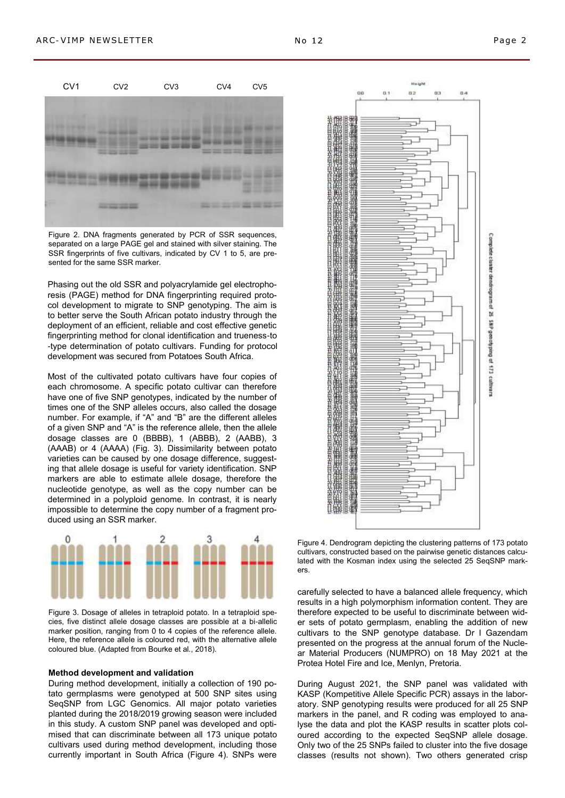

Figure 2. DNA fragments generated by PCR of SSR sequences, separated on a large PAGE gel and stained with silver staining. The SSR fingerprints of five cultivars, indicated by CV 1 to 5, are presented for the same SSR marker.

Phasing out the old SSR and polyacrylamide gel electrophoresis (PAGE) method for DNA fingerprinting required protocol development to migrate to SNP genotyping. The aim is to better serve the South African potato industry through the deployment of an efficient, reliable and cost effective genetic fingerprinting method for clonal identification and trueness-to -type determination of potato cultivars. Funding for protocol development was secured from Potatoes South Africa.

Most of the cultivated potato cultivars have four copies of each chromosome. A specific potato cultivar can therefore have one of five SNP genotypes, indicated by the number of times one of the SNP alleles occurs, also called the dosage number. For example, if "A" and "B" are the different alleles of a given SNP and "A" is the reference allele, then the allele dosage classes are 0 (BBBB), 1 (ABBB), 2 (AABB), 3 (AAAB) or 4 (AAAA) (Fig. 3). Dissimilarity between potato varieties can be caused by one dosage difference, suggesting that allele dosage is useful for variety identification. SNP markers are able to estimate allele dosage, therefore the nucleotide genotype, as well as the copy number can be determined in a polyploid genome. In contrast, it is nearly impossible to determine the copy number of a fragment produced using an SSR marker.



Figure 3. Dosage of alleles in tetraploid potato. In a tetraploid species, five distinct allele dosage classes are possible at a bi-allelic marker position, ranging from 0 to 4 copies of the reference allele. Here, the reference allele is coloured red, with the alternative allele coloured blue. (Adapted from Bourke et al., 2018).

#### **Method development and validation**

During method development, initially a collection of 190 potato germplasms were genotyped at 500 SNP sites using SeqSNP from LGC Genomics. All major potato varieties planted during the 2018/2019 growing season were included in this study. A custom SNP panel was developed and optimised that can discriminate between all 173 unique potato cultivars used during method development, including those currently important in South Africa (Figure 4). SNPs were



Figure 4. Dendrogram depicting the clustering patterns of 173 potato cultivars, constructed based on the pairwise genetic distances calculated with the Kosman index using the selected 25 SeqSNP markers.

carefully selected to have a balanced allele frequency, which results in a high polymorphism information content. They are therefore expected to be useful to discriminate between wider sets of potato germplasm, enabling the addition of new cultivars to the SNP genotype database. Dr I Gazendam presented on the progress at the annual forum of the Nuclear Material Producers (NUMPRO) on 18 May 2021 at the Protea Hotel Fire and Ice, Menlyn, Pretoria.

During August 2021, the SNP panel was validated with KASP (Kompetitive Allele Specific PCR) assays in the laboratory. SNP genotyping results were produced for all 25 SNP markers in the panel, and R coding was employed to analyse the data and plot the KASP results in scatter plots coloured according to the expected SeqSNP allele dosage. Only two of the 25 SNPs failed to cluster into the five dosage classes (results not shown). Two others generated crisp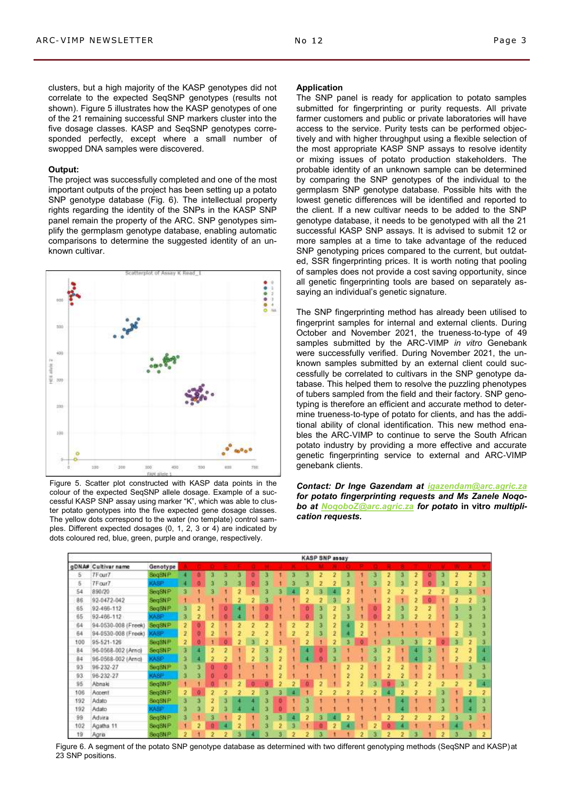clusters, but a high majority of the KASP genotypes did not correlate to the expected SeqSNP genotypes (results not shown). Figure 5 illustrates how the KASP genotypes of one of the 21 remaining successful SNP markers cluster into the five dosage classes. KASP and SeqSNP genotypes corresponded perfectly, except where a small number of swopped DNA samples were discovered.

#### **Output:**

The project was successfully completed and one of the most important outputs of the project has been setting up a potato SNP genotype database (Fig. 6). The intellectual property rights regarding the identity of the SNPs in the KASP SNP panel remain the property of the ARC. SNP genotypes simplify the germplasm genotype database, enabling automatic comparisons to determine the suggested identity of an unknown cultivar.



Figure 5. Scatter plot constructed with KASP data points in the colour of the expected SeqSNP allele dosage. Example of a successful KASP SNP assay using marker "K", which was able to cluster potato genotypes into the five expected gene dosage classes. The yellow dots correspond to the water (no template) control samples. Different expected dosages (0, 1, 2, 3 or 4) are indicated by dots coloured red, blue, green, purple and orange, respectively.

#### **Application**

The SNP panel is ready for application to potato samples submitted for fingerprinting or purity requests. All private farmer customers and public or private laboratories will have access to the service. Purity tests can be performed objectively and with higher throughput using a flexible selection of the most appropriate KASP SNP assays to resolve identity or mixing issues of potato production stakeholders. The probable identity of an unknown sample can be determined by comparing the SNP genotypes of the individual to the germplasm SNP genotype database. Possible hits with the lowest genetic differences will be identified and reported to the client. If a new cultivar needs to be added to the SNP genotype database, it needs to be genotyped with all the 21 successful KASP SNP assays. It is advised to submit 12 or more samples at a time to take advantage of the reduced SNP genotyping prices compared to the current, but outdated, SSR fingerprinting prices. It is worth noting that pooling of samples does not provide a cost saving opportunity, since all genetic fingerprinting tools are based on separately assaying an individual's genetic signature.

The SNP fingerprinting method has already been utilised to fingerprint samples for internal and external clients. During October and November 2021, the trueness-to-type of 49 samples submitted by the ARC-VIMP *in vitro* Genebank were successfully verified. During November 2021, the unknown samples submitted by an external client could successfully be correlated to cultivars in the SNP genotype database. This helped them to resolve the puzzling phenotypes of tubers sampled from the field and their factory. SNP genotyping is therefore an efficient and accurate method to determine trueness-to-type of potato for clients, and has the additional ability of clonal identification. This new method enables the ARC-VIMP to continue to serve the South African potato industry by providing a more effective and accurate genetic fingerprinting service to external and ARC-VIMP genebank clients.

*Contact: Dr Inge Gazendam at [igazendam@arc.agric.za](mailto:igazendam@arc.agric.za) for potato fingerprinting requests and Ms Zanele Noqobo at [NoqoboZ@arc.agric.za](mailto:NoqoboZ@arc.agric.za) for potato* **in vitro** *multiplication requests.*



Figure 6. A segment of the potato SNP genotype database as determined with two different genotyping methods (SeqSNP and KASP)at 23 SNP positions.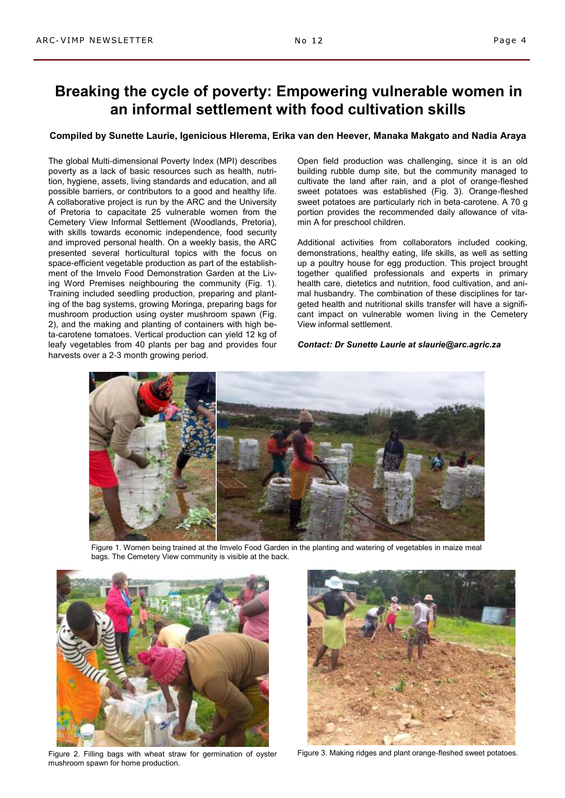# **Breaking the cycle of poverty: Empowering vulnerable women in an informal settlement with food cultivation skills**

#### **Compiled by Sunette Laurie, Igenicious Hlerema, Erika van den Heever, Manaka Makgato and Nadia Araya**

The global Multi-dimensional Poverty Index (MPI) describes poverty as a lack of basic resources such as health, nutrition, hygiene, assets, living standards and education, and all possible barriers, or contributors to a good and healthy life. A collaborative project is run by the ARC and the University of Pretoria to capacitate 25 vulnerable women from the Cemetery View Informal Settlement (Woodlands, Pretoria), with skills towards economic independence, food security and improved personal health. On a weekly basis, the ARC presented several horticultural topics with the focus on space-efficient vegetable production as part of the establishment of the Imvelo Food Demonstration Garden at the Living Word Premises neighbouring the community (Fig. 1). Training included seedling production, preparing and planting of the bag systems, growing Moringa, preparing bags for mushroom production using oyster mushroom spawn (Fig. 2), and the making and planting of containers with high beta-carotene tomatoes. Vertical production can yield 12 kg of leafy vegetables from 40 plants per bag and provides four harvests over a 2-3 month growing period.

Open field production was challenging, since it is an old building rubble dump site, but the community managed to cultivate the land after rain, and a plot of orange-fleshed sweet potatoes was established (Fig. 3). Orange-fleshed sweet potatoes are particularly rich in beta-carotene. A 70 g portion provides the recommended daily allowance of vitamin A for preschool children.

Additional activities from collaborators included cooking, demonstrations, healthy eating, life skills, as well as setting up a poultry house for egg production. This project brought together qualified professionals and experts in primary health care, dietetics and nutrition, food cultivation, and animal husbandry. The combination of these disciplines for targeted health and nutritional skills transfer will have a significant impact on vulnerable women living in the Cemetery View informal settlement.

#### *Contact: Dr Sunette Laurie at slaurie@arc.agric.za*



Figure 1. Women being trained at the Imvelo Food Garden in the planting and watering of vegetables in maize meal bags. The Cemetery View community is visible at the back.



Figure 2. Filling bags with wheat straw for germination of oyster mushroom spawn for home production.



Figure 3. Making ridges and plant orange-fleshed sweet potatoes.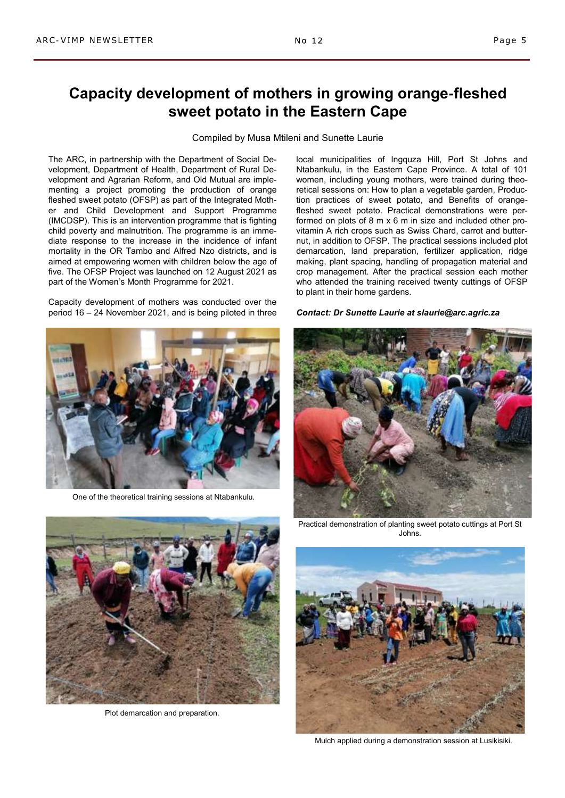## Compiled by Musa Mtileni and Sunette Laurie

**sweet potato in the Eastern Cape**

The ARC, in partnership with the Department of Social Development, Department of Health, Department of Rural Development and Agrarian Reform, and Old Mutual are implementing a project promoting the production of orange fleshed sweet potato (OFSP) as part of the Integrated Mother and Child Development and Support Programme (IMCDSP). This is an intervention programme that is fighting child poverty and malnutrition. The programme is an immediate response to the increase in the incidence of infant mortality in the OR Tambo and Alfred Nzo districts, and is aimed at empowering women with children below the age of five. The OFSP Project was launched on 12 August 2021 as part of the Women's Month Programme for 2021.

Capacity development of mothers was conducted over the period 16 – 24 November 2021, and is being piloted in three



One of the theoretical training sessions at Ntabankulu.

local municipalities of Ingquza Hill, Port St Johns and Ntabankulu, in the Eastern Cape Province. A total of 101 women, including young mothers, were trained during theoretical sessions on: How to plan a vegetable garden, Production practices of sweet potato, and Benefits of orangefleshed sweet potato. Practical demonstrations were performed on plots of 8 m x 6 m in size and included other provitamin A rich crops such as Swiss Chard, carrot and butternut, in addition to OFSP. The practical sessions included plot demarcation, land preparation, fertilizer application, ridge making, plant spacing, handling of propagation material and crop management. After the practical session each mother who attended the training received twenty cuttings of OFSP to plant in their home gardens.

#### *Contact: Dr Sunette Laurie at slaurie@arc.agric.za*







Mulch applied during a demonstration session at Lusikisiki.



Plot demarcation and preparation.